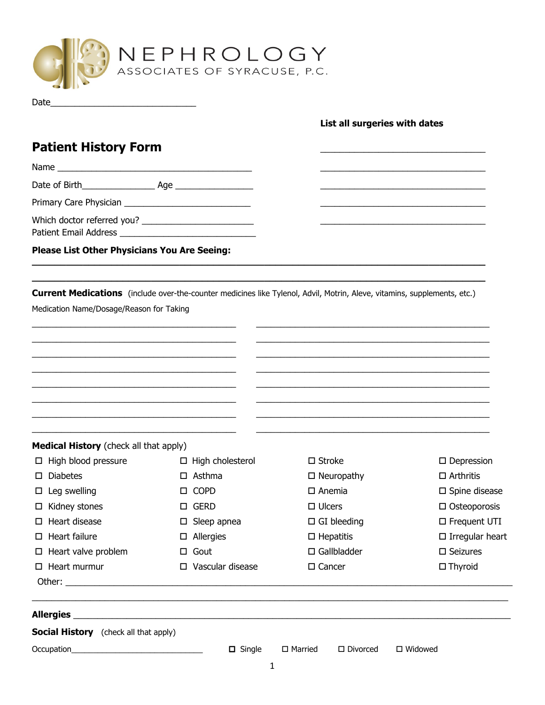

Date\_\_\_\_\_\_\_\_\_\_\_\_\_\_\_\_\_\_\_\_\_\_\_\_\_\_\_\_\_\_

## **List all surgeries with dates**

# **Patient History Form** \_\_\_\_\_\_\_\_\_\_\_\_\_\_\_\_\_\_\_\_\_\_\_\_\_\_\_\_\_\_\_\_\_\_

| raucht Mour I villi                          |                                                                                                                          |                       |                           |
|----------------------------------------------|--------------------------------------------------------------------------------------------------------------------------|-----------------------|---------------------------|
|                                              |                                                                                                                          |                       |                           |
|                                              |                                                                                                                          |                       |                           |
|                                              |                                                                                                                          |                       |                           |
|                                              |                                                                                                                          |                       |                           |
| Please List Other Physicians You Are Seeing: |                                                                                                                          |                       |                           |
|                                              | Current Medications (include over-the-counter medicines like Tylenol, Advil, Motrin, Aleve, vitamins, supplements, etc.) |                       |                           |
| Medication Name/Dosage/Reason for Taking     |                                                                                                                          |                       |                           |
|                                              |                                                                                                                          |                       |                           |
|                                              |                                                                                                                          |                       |                           |
|                                              |                                                                                                                          |                       |                           |
|                                              |                                                                                                                          |                       |                           |
|                                              |                                                                                                                          |                       |                           |
|                                              |                                                                                                                          |                       |                           |
| Medical History (check all that apply)       |                                                                                                                          |                       |                           |
| $\Box$ High blood pressure                   | $\Box$ High cholesterol                                                                                                  | $\square$ Stroke      | $\square$ Depression      |
| <b>Diabetes</b><br>□                         | $\Box$ Asthma                                                                                                            | $\Box$ Neuropathy     | $\Box$ Arthritis          |
| $\square$ Leg swelling                       | <b>COPD</b><br>□.                                                                                                        | $\square$ Anemia      | $\square$ Spine disease   |
| $\Box$ Kidney stones                         | $\square$ GERD                                                                                                           | $\Box$ Ulcers         | $\Box$ Osteoporosis       |
| $\Box$ Heart disease                         | $\square$ Sleep apnea                                                                                                    | $\Box$ GI bleeding    | □ Frequent UTI            |
| $\Box$ Heart failure                         | $\square$ Allergies                                                                                                      | $\Box$ Hepatitis      | $\square$ Irregular heart |
| $\Box$ Heart valve problem                   | $\Box$ Gout                                                                                                              | $\square$ Gallbladder | $\square$ Seizures        |
| $\Box$ Heart murmur                          | $\square$ Vascular disease                                                                                               | $\square$ Cancer      | $\Box$ Thyroid            |
|                                              |                                                                                                                          |                       |                           |
|                                              | <u> 1999 - Jan Barnett, fransk politik (d. 1989)</u>                                                                     |                       |                           |
| <b>Social History</b> (check all that apply) |                                                                                                                          |                       |                           |
|                                              |                                                                                                                          |                       |                           |